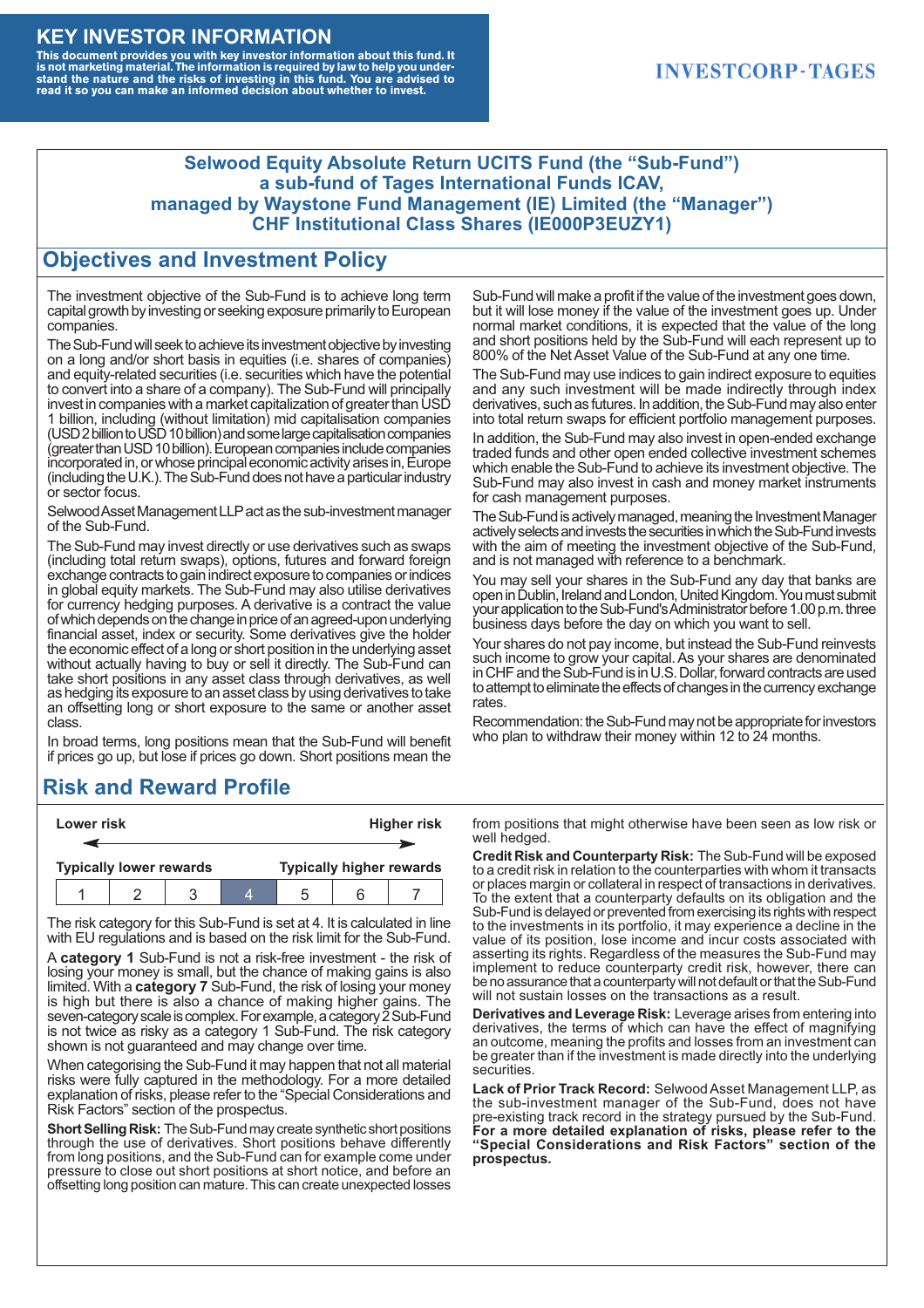#### **KEY INVESTOR INFORMATION**

This document provides you with key investor information about this fund. It<br>is not marketing material. The information is required by law to help you under-<br>stand the nature and the risks of investing in this fund. You ar

#### **INVESTCORP-TAGES**

#### **Selwood Equity Absolute Return UCITS Fund (the "Sub-Fund") a sub-fund of Tages International Funds ICAV, managed by Waystone Fund Management (IE) Limited (the "Manager") CHF Institutional Class Shares (IE000P3EUZY1)**

#### **Objectives and Investment Policy**

The investment objective of the Sub-Fund is to achieve long term capital growth by investing or seeking exposure primarily to European companies.

The Sub-Fund will seek to achieve its investment objective by investing on a long and/or short basis in equities (i.e. shares of companies) and equity-related securities (i.e. securities which have the potential to convert into a share of a company). The Sub-Fund will principally invest in companies with a market capitalization of greater than USD 1 billion, including (without limitation) mid capitalisation companies (USD 2 billion to USD 10 billion) and some large capitalisation companies (greaterthanUSD10billion).European companiesinclude companies incorporated in, or whose principal economic activity arises in, Europe (including the U.K.). The Sub-Fund does not have a particular industry or sector focus.

Selwood Asset Management LLP act as the sub-investment manager of the Sub-Fund.

The Sub-Fund may invest directly or use derivatives such as swaps (including total return swaps), options, futures and forward foreign exchange contracts to gain indirect exposure to companies or indices in global equity markets. The Sub-Fund may also utilise derivatives for currency hedging purposes. A derivative is a contract the value of which depends on the change in price of an agreed-upon underlying financial asset, index or security. Some derivatives give the holder the economic effect of a long or short position in the underlying asset without actually having to buy or sell it directly. The Sub-Fund can take short positions in any asset class through derivatives, as well as hedging its exposure to an asset class by using derivatives to take an offsetting long or short exposure to the same or another asset class.

In broad terms, long positions mean that the Sub-Fund will benefit if prices go up, but lose if prices go down. Short positions mean the

## **Risk and Reward Profile**

|                                | Lower risk |  |  | <b>Higher risk</b>              |  |  |
|--------------------------------|------------|--|--|---------------------------------|--|--|
|                                |            |  |  |                                 |  |  |
| <b>Typically lower rewards</b> |            |  |  | <b>Typically higher rewards</b> |  |  |
|                                |            |  |  | :5                              |  |  |

The risk category for this Sub-Fund is set at 4. It is calculated in line with EU regulations and is based on the risk limit for the Sub-Fund.

A **category 1** Sub-Fund is not a risk-free investment - the risk of losing your money is small, but the chance of making gains is also limited. With a **category 7** Sub-Fund, the risk of losing your money is high but there is also a chance of making higher gains. The seven-category scale is complex. For example, a category 2 Sub-Fund is not twice as risky as a category 1 Sub-Fund. The risk category shown is not guaranteed and may change over time.

When categorising the Sub-Fund it may happen that not all material risks were fully captured in the methodology. For a more detailed explanation of risks, please refer to the "Special Considerations and Risk Factors" section of the prospectus.

**Short Selling Risk:** The Sub-Fund may create synthetic short positions through the use of derivatives. Short positions behave differently from long positions, and the Sub-Fund can for example come under pressure to close out short positions at short notice, and before an offsetting long position can mature. This can create unexpected losses

Sub-Fund will make a profit if the value of the investment goes down, but it will lose money if the value of the investment goes up. Under normal market conditions, it is expected that the value of the long and short positions held by the Sub-Fund will each represent up to 800% of the Net Asset Value of the Sub-Fund at any one time.

The Sub-Fund may use indices to gain indirect exposure to equities and any such investment will be made indirectly through index derivatives, such as futures. In addition, the Sub-Fund may also enter into total return swaps for efficient portfolio management purposes.

In addition, the Sub-Fund may also invest in open-ended exchange traded funds and other open ended collective investment schemes which enable the Sub-Fund to achieve its investment objective. The Sub-Fund may also invest in cash and money market instruments for cash management purposes.

The Sub-Fund is actively managed, meaning the Investment Manager actively selects and invests the securities in which the Sub-Fund invests with the aim of meeting the investment objective of the Sub-Fund, and is not managed with reference to a benchmark.

You may sell your shares in the Sub-Fund any day that banks are open in Dublin, Ireland and London, United Kingdom. You must submit your application to the Sub-Fund's Administrator before 1.00 p.m. three business days before the day on which you want to sell.

Your shares do not pay income, but instead the Sub-Fund reinvests such income to grow your capital. As your shares are denominated in CHF and the Sub-Fund is in U.S. Dollar, forward contracts are used to attempt to eliminate the effects of changes in the currency exchange rates.

Recommendation: the Sub-Fund may not be appropriate for investors who plan to withdraw their money within 12 to 24 months.

from positions that might otherwise have been seen as low risk or well hedged.

**Credit Risk and Counterparty Risk:** The Sub-Fund will be exposed to a credit risk in relation to the counterparties with whom it transacts or places margin or collateral in respect of transactions in derivatives. To the extent that a counterparty defaults on its obligation and the Sub-Fund is delayed or prevented from exercising its rights with respect to the investments in its portfolio, it may experience a decline in the value of its position, lose income and incur costs associated with asserting its rights. Regardless of the measures the Sub-Fund may implement to reduce counterparty credit risk, however, there can be no assurance that a counterparty will not default or that the Sub-Fund will not sustain losses on the transactions as a result.

**Derivatives and Leverage Risk:** Leverage arises from entering into derivatives, the terms of which can have the effect of magnifying an outcome, meaning the profits and losses from an investment can be greater than if the investment is made directly into the underlying **securities**.

**Lack of Prior Track Record:** Selwood Asset Management LLP, as the sub-investment manager of the Sub-Fund, does not have pre-existing track record in the strategy pursued by the Sub-Fund. **For a more detailed explanation of risks, please refer to the "Special Considerations and Risk Factors" section of the prospectus.**